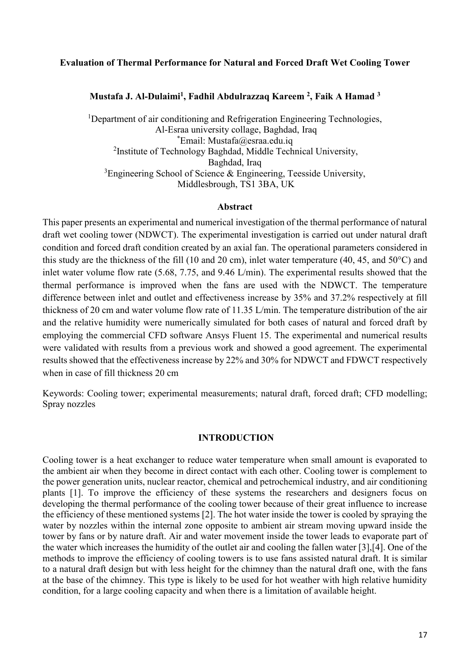# **Evaluation of Thermal Performance for Natural and Forced Draft Wet Cooling Tower**

**Mustafa J. Al-Dulaimi<sup>1</sup> , Fadhil Abdulrazzaq Kareem <sup>2</sup> , Faik A Hamad <sup>3</sup>**

<sup>1</sup>Department of air conditioning and Refrigeration Engineering Technologies, Al-Esraa university collage, Baghdad, Iraq \*Email: Mustafa@esraa.edu.iq <sup>2</sup>Institute of Technology Baghdad, Middle Technical University, Baghdad, Iraq  ${}^{3}$ Engineering School of Science & Engineering, Teesside University, Middlesbrough, TS1 3BA, UK

## **Abstract**

This paper presents an experimental and numerical investigation of the thermal performance of natural draft wet cooling tower (NDWCT). The experimental investigation is carried out under natural draft condition and forced draft condition created by an axial fan. The operational parameters considered in this study are the thickness of the fill (10 and 20 cm), inlet water temperature (40, 45, and 50°C) and inlet water volume flow rate (5.68, 7.75, and 9.46 L/min). The experimental results showed that the thermal performance is improved when the fans are used with the NDWCT. The temperature difference between inlet and outlet and effectiveness increase by 35% and 37.2% respectively at fill thickness of 20 cm and water volume flow rate of 11.35 L/min. The temperature distribution of the air and the relative humidity were numerically simulated for both cases of natural and forced draft by employing the commercial CFD software Ansys Fluent 15. The experimental and numerical results were validated with results from a previous work and showed a good agreement. The experimental results showed that the effectiveness increase by 22% and 30% for NDWCT and FDWCT respectively when in case of fill thickness 20 cm

Keywords: Cooling tower; experimental measurements; natural draft, forced draft; CFD modelling; Spray nozzles

## **INTRODUCTION**

Cooling tower is a heat exchanger to reduce water temperature when small amount is evaporated to the ambient air when they become in direct contact with each other. Cooling tower is complement to the power generation units, nuclear reactor, chemical and petrochemical industry, and air conditioning plants [1]. To improve the efficiency of these systems the researchers and designers focus on developing the thermal performance of the cooling tower because of their great influence to increase the efficiency of these mentioned systems [2]. The hot water inside the tower is cooled by spraying the water by nozzles within the internal zone opposite to ambient air stream moving upward inside the tower by fans or by nature draft. Air and water movement inside the tower leads to evaporate part of the water which increases the humidity of the outlet air and cooling the fallen water [3],[4]. One of the methods to improve the efficiency of cooling towers is to use fans assisted natural draft. It is similar to a natural draft design but with less height for the chimney than the natural draft one, with the fans at the base of the chimney. This type is likely to be used for hot weather with high relative humidity condition, for a large cooling capacity and when there is a limitation of available height.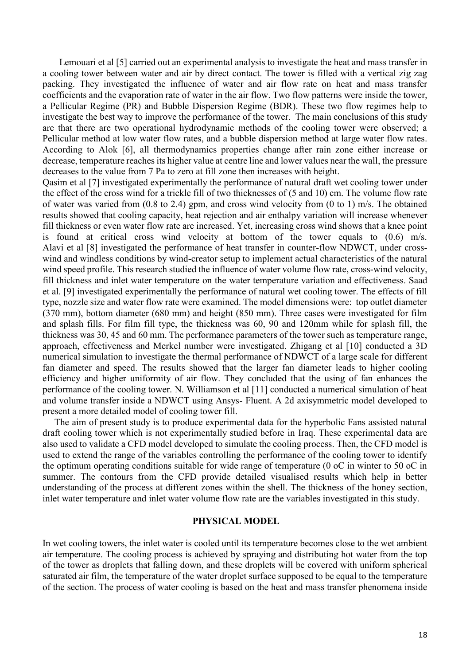Lemouari et al [5] carried out an experimental analysis to investigate the heat and mass transfer in a cooling tower between water and air by direct contact. The tower is filled with a vertical zig zag packing. They investigated the influence of water and air flow rate on heat and mass transfer coefficients and the evaporation rate of water in the air flow. Two flow patterns were inside the tower, a Pellicular Regime (PR) and Bubble Dispersion Regime (BDR). These two flow regimes help to investigate the best way to improve the performance of the tower. The main conclusions of this study are that there are two operational hydrodynamic methods of the cooling tower were observed; a Pellicular method at low water flow rates, and a bubble dispersion method at large water flow rates. According to Alok [6], all thermodynamics properties change after rain zone either increase or decrease, temperature reaches its higher value at centre line and lower values near the wall, the pressure decreases to the value from 7 Pa to zero at fill zone then increases with height.

Qasim et al [7] investigated experimentally the performance of natural draft wet cooling tower under the effect of the cross wind for a trickle fill of two thicknesses of (5 and 10) cm. The volume flow rate of water was varied from (0.8 to 2.4) gpm, and cross wind velocity from (0 to 1) m/s. The obtained results showed that cooling capacity, heat rejection and air enthalpy variation will increase whenever fill thickness or even water flow rate are increased. Yet, increasing cross wind shows that a knee point is found at critical cross wind velocity at bottom of the tower equals to (0.6) m/s. Alavi et al [8] investigated the performance of heat transfer in counter-flow NDWCT, under crosswind and windless conditions by wind-creator setup to implement actual characteristics of the natural wind speed profile. This research studied the influence of water volume flow rate, cross-wind velocity, fill thickness and inlet water temperature on the water temperature variation and effectiveness. Saad et al. [9] investigated experimentally the performance of natural wet cooling tower. The effects of fill type, nozzle size and water flow rate were examined. The model dimensions were: top outlet diameter (370 mm), bottom diameter (680 mm) and height (850 mm). Three cases were investigated for film and splash fills. For film fill type, the thickness was 60, 90 and 120mm while for splash fill, the thickness was 30, 45 and 60 mm. The performance parameters of the tower such as temperature range, approach, effectiveness and Merkel number were investigated. Zhigang et al [10] conducted a 3D numerical simulation to investigate the thermal performance of NDWCT of a large scale for different fan diameter and speed. The results showed that the larger fan diameter leads to higher cooling efficiency and higher uniformity of air flow. They concluded that the using of fan enhances the performance of the cooling tower. N. Williamson et al [11] conducted a numerical simulation of heat and volume transfer inside a NDWCT using Ansys- Fluent. A 2d axisymmetric model developed to present a more detailed model of cooling tower fill.

 The aim of present study is to produce experimental data for the hyperbolic Fans assisted natural draft cooling tower which is not experimentally studied before in Iraq. These experimental data are also used to validate a CFD model developed to simulate the cooling process. Then, the CFD model is used to extend the range of the variables controlling the performance of the cooling tower to identify the optimum operating conditions suitable for wide range of temperature (0 oC in winter to 50 oC in summer. The contours from the CFD provide detailed visualised results which help in better understanding of the process at different zones within the shell. The thickness of the honey section, inlet water temperature and inlet water volume flow rate are the variables investigated in this study.

#### **PHYSICAL MODEL**

In wet cooling towers, the inlet water is cooled until its temperature becomes close to the wet ambient air temperature. The cooling process is achieved by spraying and distributing hot water from the top of the tower as droplets that falling down, and these droplets will be covered with uniform spherical saturated air film, the temperature of the water droplet surface supposed to be equal to the temperature of the section. The process of water cooling is based on the heat and mass transfer phenomena inside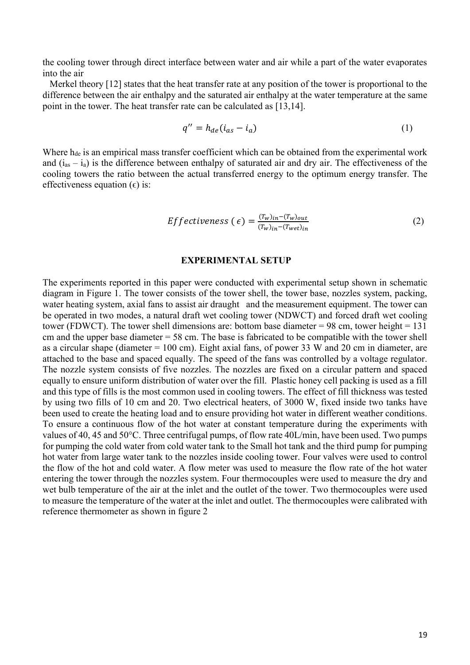the cooling tower through direct interface between water and air while a part of the water evaporates into the air

Merkel theory [12] states that the heat transfer rate at any position of the tower is proportional to the difference between the air enthalpy and the saturated air enthalpy at the water temperature at the same point in the tower. The heat transfer rate can be calculated as [13,14].

$$
q'' = h_{de}(i_{as} - i_a) \tag{1}
$$

Where h<sub>de</sub> is an empirical mass transfer coefficient which can be obtained from the experimental work and  $(i_{as} - i_a)$  is the difference between enthalpy of saturated air and dry air. The effectiveness of the cooling towers the ratio between the actual transferred energy to the optimum energy transfer. The effectiveness equation  $(\epsilon)$  is:

$$
Effectiveness\ (\epsilon) = \frac{(T_w)_{in} - (T_w)_{out}}{(T_w)_{in} - (T_{wet})_{in}} \tag{2}
$$

#### **EXPERIMENTAL SETUP**

The experiments reported in this paper were conducted with experimental setup shown in schematic diagram in Figure 1. The tower consists of the tower shell, the tower base, nozzles system, packing, water heating system, axial fans to assist air draught and the measurement equipment. The tower can be operated in two modes, a natural draft wet cooling tower (NDWCT) and forced draft wet cooling tower (FDWCT). The tower shell dimensions are: bottom base diameter = 98 cm, tower height =  $131$ cm and the upper base diameter  $= 58$  cm. The base is fabricated to be compatible with the tower shell as a circular shape (diameter = 100 cm). Eight axial fans, of power 33 W and 20 cm in diameter, are attached to the base and spaced equally. The speed of the fans was controlled by a voltage regulator. The nozzle system consists of five nozzles. The nozzles are fixed on a circular pattern and spaced equally to ensure uniform distribution of water over the fill. Plastic honey cell packing is used as a fill and this type of fills is the most common used in cooling towers. The effect of fill thickness was tested by using two fills of 10 cm and 20. Two electrical heaters, of 3000 W, fixed inside two tanks have been used to create the heating load and to ensure providing hot water in different weather conditions. To ensure a continuous flow of the hot water at constant temperature during the experiments with values of 40, 45 and 50°C. Three centrifugal pumps, of flow rate 40L/min, have been used. Two pumps for pumping the cold water from cold water tank to the Small hot tank and the third pump for pumping hot water from large water tank to the nozzles inside cooling tower. Four valves were used to control the flow of the hot and cold water. A flow meter was used to measure the flow rate of the hot water entering the tower through the nozzles system. Four thermocouples were used to measure the dry and wet bulb temperature of the air at the inlet and the outlet of the tower. Two thermocouples were used to measure the temperature of the water at the inlet and outlet. The thermocouples were calibrated with reference thermometer as shown in figure 2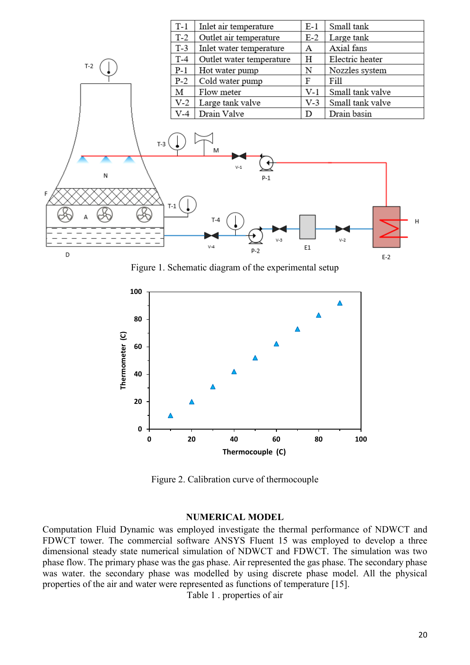

Figure 1. Schematic diagram of the experimental setup



Figure 2. Calibration curve of thermocouple

# **NUMERICAL MODEL**

Computation Fluid Dynamic was employed investigate the thermal performance of NDWCT and FDWCT tower. The commercial software ANSYS Fluent 15 was employed to develop a three dimensional steady state numerical simulation of NDWCT and FDWCT. The simulation was two phase flow. The primary phase was the gas phase. Air represented the gas phase. The secondary phase was water. the secondary phase was modelled by using discrete phase model. All the physical properties of the air and water were represented as functions of temperature [15].

Table 1 . properties of air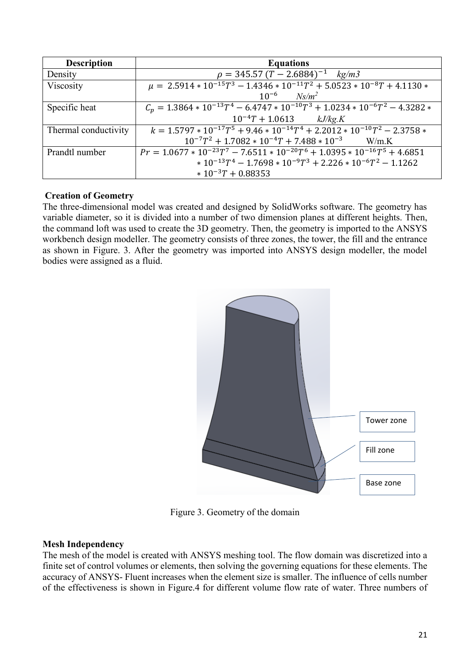| <b>Description</b>   | <b>Equations</b>                                                                     |
|----------------------|--------------------------------------------------------------------------------------|
| Density              | $\rho = 345.57 (T - 2.6884)^{-1}$ kg/m3                                              |
| Viscosity            | $\mu = 2.5914 * 10^{-15}T^3 - 1.4346 * 10^{-11}T^2 + 5.0523 * 10^{-8}T + 4.1130 *$   |
|                      | $10^{-6}$ $Ns/m^2$                                                                   |
| Specific heat        | $C_n = 1.3864 * 10^{-13}T^4 - 6.4747 * 10^{-10}T^3 + 1.0234 * 10^{-6}T^2 - 4.3282 *$ |
|                      | $10^{-4}T + 1.0613$ $kJ/kg.K$                                                        |
| Thermal conductivity | $k = 1.5797 * 10^{-17}T^5 + 9.46 * 10^{-14}T^4 + 2.2012 * 10^{-10}T^2 - 2.3758 *$    |
|                      | $10^{-7}T^2 + 1.7082 * 10^{-4}T + 7.488 * 10^{-3}$ W/m.K                             |
| Prandtl number       | $Pr = 1.0677 * 10^{-23}T^7 - 7.6511 * 10^{-20}T^6 + 1.0395 * 10^{-16}T^5 + 4.6851$   |
|                      | $*10^{-13}T^4 - 1.7698 * 10^{-9}T^3 + 2.226 * 10^{-6}T^2 - 1.1262$                   |
|                      | $* 10^{-3}T + 0.88353$                                                               |

# **Creation of Geometry**

The three-dimensional model was created and designed by SolidWorks software. The geometry has variable diameter, so it is divided into a number of two dimension planes at different heights. Then, the command loft was used to create the 3D geometry. Then, the geometry is imported to the ANSYS workbench design modeller. The geometry consists of three zones, the tower, the fill and the entrance as shown in Figure. 3. After the geometry was imported into ANSYS design modeller, the model bodies were assigned as a fluid.



Figure 3. Geometry of the domain

# **Mesh Independency**

The mesh of the model is created with ANSYS meshing tool. The flow domain was discretized into a finite set of control volumes or elements, then solving the governing equations for these elements. The accuracy of ANSYS- Fluent increases when the element size is smaller. The influence of cells number of the effectiveness is shown in Figure.4 for different volume flow rate of water. Three numbers of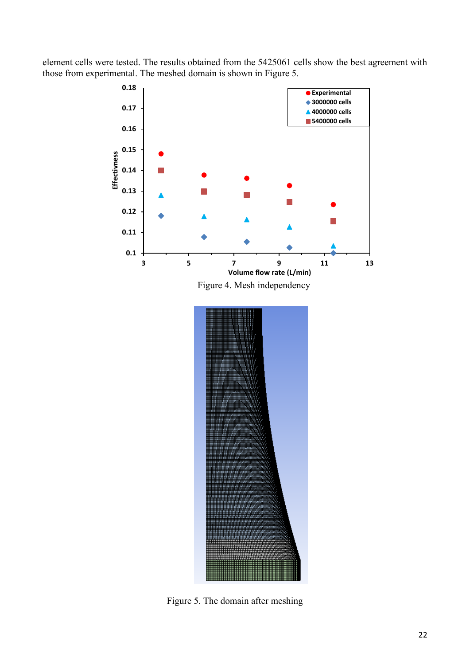element cells were tested. The results obtained from the 5425061 cells show the best agreement with those from experimental. The meshed domain is shown in Figure 5.



Figure 4. Mesh independency



Figure 5. The domain after meshing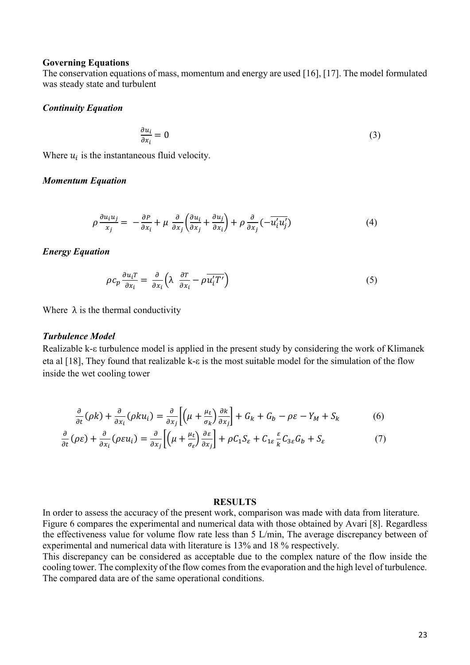#### **Governing Equations**

The conservation equations of mass, momentum and energy are used [16], [17]. The model formulated was steady state and turbulent

## *Continuity Equation*

$$
\frac{\partial u_i}{\partial x_i} = 0 \tag{3}
$$

Where  $u_i$  is the instantaneous fluid velocity.

## *Momentum Equation*

$$
\rho \frac{\partial u_i u_j}{x_j} = -\frac{\partial P}{\partial x_i} + \mu \frac{\partial}{\partial x_j} \left( \frac{\partial u_i}{\partial x_j} + \frac{\partial u_j}{\partial x_i} \right) + \rho \frac{\partial}{\partial x_j} \left( -\overline{u'_i u'_j} \right) \tag{4}
$$

## *Energy Equation*

$$
\rho c_p \frac{\partial u_i T}{\partial x_i} = \frac{\partial}{\partial x_i} \left( \lambda \frac{\partial T}{\partial x_i} - \rho \overline{u'_i T'} \right) \tag{5}
$$

Where  $\lambda$  is the thermal conductivity

# *Turbulence Model*

Realizable k-ε turbulence model is applied in the present study by considering the work of Klimanek eta al [18], They found that realizable k-ε is the most suitable model for the simulation of the flow inside the wet cooling tower

$$
\frac{\partial}{\partial t}(\rho k) + \frac{\partial}{\partial x_i}(\rho k u_i) = \frac{\partial}{\partial x_j} \left[ \left( \mu + \frac{\mu_t}{\sigma_k} \right) \frac{\partial k}{\partial x_j} \right] + G_k + G_b - \rho \varepsilon - Y_M + S_k \tag{6}
$$

$$
\frac{\partial}{\partial t}(\rho \varepsilon) + \frac{\partial}{\partial x_i}(\rho \varepsilon u_i) = \frac{\partial}{\partial x_j} \left[ \left( \mu + \frac{\mu_t}{\sigma_{\varepsilon}} \right) \frac{\partial \varepsilon}{\partial x_j} \right] + \rho C_1 S_{\varepsilon} + C_{1\varepsilon} \frac{\varepsilon}{k} C_{3\varepsilon} G_b + S_{\varepsilon} \tag{7}
$$

#### **RESULTS**

In order to assess the accuracy of the present work, comparison was made with data from literature. Figure 6 compares the experimental and numerical data with those obtained by Avari [8]. Regardless the effectiveness value for volume flow rate less than 5 L/min, The average discrepancy between of experimental and numerical data with literature is 13% and 18 % respectively.

This discrepancy can be considered as acceptable due to the complex nature of the flow inside the cooling tower. The complexity of the flow comes from the evaporation and the high level of turbulence. The compared data are of the same operational conditions.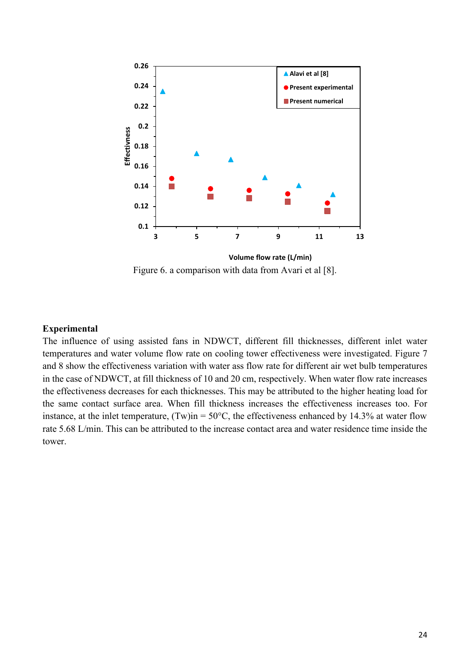

Figure 6. a comparison with data from Avari et al [8].

# **Experimental**

The influence of using assisted fans in NDWCT, different fill thicknesses, different inlet water temperatures and water volume flow rate on cooling tower effectiveness were investigated. Figure 7 and 8 show the effectiveness variation with water ass flow rate for different air wet bulb temperatures in the case of NDWCT, at fill thickness of 10 and 20 cm, respectively. When water flow rate increases the effectiveness decreases for each thicknesses. This may be attributed to the higher heating load for the same contact surface area. When fill thickness increases the effectiveness increases too. For instance, at the inlet temperature,  $(Tw)$ in = 50°C, the effectiveness enhanced by 14.3% at water flow rate 5.68 L/min. This can be attributed to the increase contact area and water residence time inside the tower.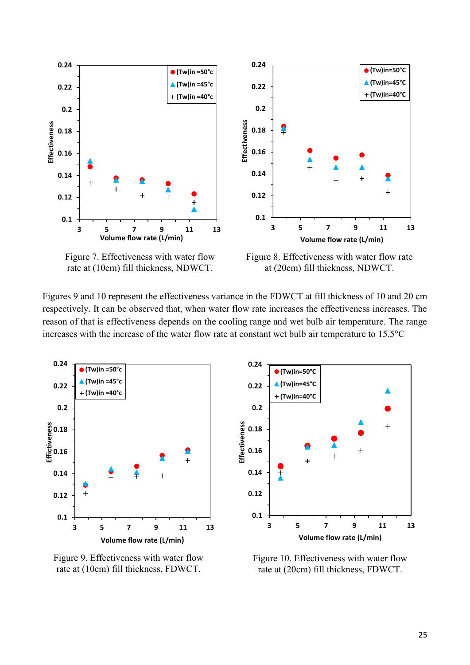

Figure 7. Effectiveness with water flow rate at (10cm) fill thickness, NDWCT.

Figure 8. Effectiveness with water flow rate at (20cm) fill thickness, NDWCT.

Figures 9 and 10 represent the effectiveness variance in the FDWCT at fill thickness of 10 and 20 cm respectively. It can be observed that, when water flow rate increases the effectiveness increases. The reason of that is effectiveness depends on the cooling range and wet bulb air temperature. The range increases with the increase of the water flow rate at constant wet bulb air temperature to 15.5°C



Figure 9. Effectiveness with water flow rate at (10cm) fill thickness, FDWCT.



Figure 10. Effectiveness with water flow rate at (20cm) fill thickness, FDWCT.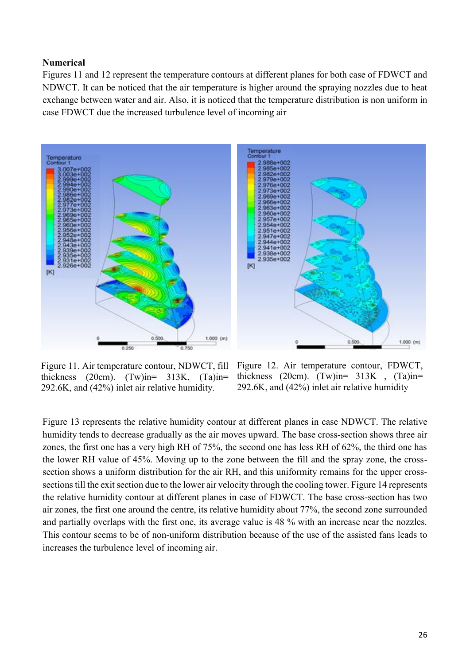# **Numerical**

Figures 11 and 12 represent the temperature contours at different planes for both case of FDWCT and NDWCT. It can be noticed that the air temperature is higher around the spraying nozzles due to heat exchange between water and air. Also, it is noticed that the temperature distribution is non uniform in case FDWCT due the increased turbulence level of incoming air



Figure 11. Air temperature contour, NDWCT, fill thickness (20cm).  $(Tw)$  in = 313K,  $(Ta)$  in = 292.6K, and (42%) inlet air relative humidity.

Figure 12. Air temperature contour, FDWCT, thickness (20cm).  $(Tw)$  in = 313K ,  $(Ta)$  in = 292.6K, and (42%) inlet air relative humidity

Figure 13 represents the relative humidity contour at different planes in case NDWCT. The relative humidity tends to decrease gradually as the air moves upward. The base cross-section shows three air zones, the first one has a very high RH of 75%, the second one has less RH of 62%, the third one has the lower RH value of 45%. Moving up to the zone between the fill and the spray zone, the crosssection shows a uniform distribution for the air RH, and this uniformity remains for the upper crosssections till the exit section due to the lower air velocity through the cooling tower. Figure 14 represents the relative humidity contour at different planes in case of FDWCT. The base cross-section has two air zones, the first one around the centre, its relative humidity about 77%, the second zone surrounded and partially overlaps with the first one, its average value is 48 % with an increase near the nozzles. This contour seems to be of non-uniform distribution because of the use of the assisted fans leads to increases the turbulence level of incoming air.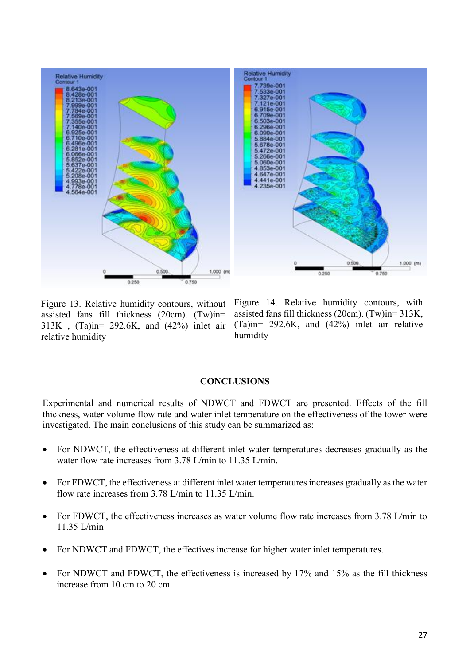

Figure 13. Relative humidity contours, without assisted fans fill thickness (20cm). (Tw)in= 313K , (Ta)in= 292.6K, and (42%) inlet air relative humidity

Figure 14. Relative humidity contours, with assisted fans fill thickness (20cm). (Tw)in= 313K, (Ta)in= 292.6K, and (42%) inlet air relative humidity

## **CONCLUSIONS**

Experimental and numerical results of NDWCT and FDWCT are presented. Effects of the fill thickness, water volume flow rate and water inlet temperature on the effectiveness of the tower were investigated. The main conclusions of this study can be summarized as:

- For NDWCT, the effectiveness at different inlet water temperatures decreases gradually as the water flow rate increases from 3.78 L/min to 11.35 L/min.
- For FDWCT, the effectiveness at different inlet water temperatures increases gradually as the water flow rate increases from 3.78 L/min to 11.35 L/min.
- For FDWCT, the effectiveness increases as water volume flow rate increases from 3.78 L/min to 11.35 L/min
- For NDWCT and FDWCT, the effectives increase for higher water inlet temperatures.
- For NDWCT and FDWCT, the effectiveness is increased by 17% and 15% as the fill thickness increase from 10 cm to 20 cm.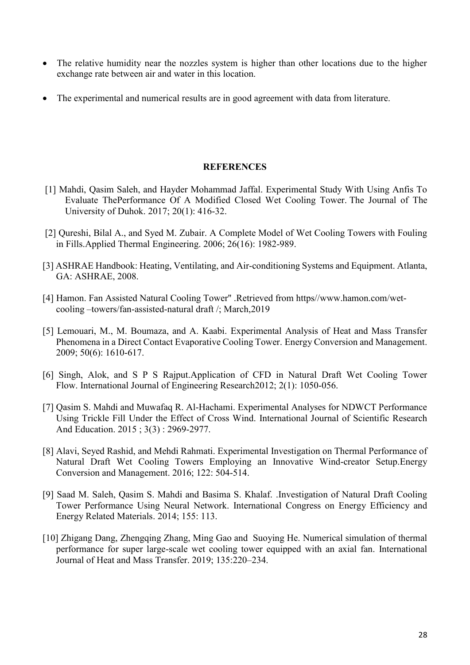- The relative humidity near the nozzles system is higher than other locations due to the higher exchange rate between air and water in this location.
- The experimental and numerical results are in good agreement with data from literature.

# **REFERENCES**

- [1] Mahdi, Qasim Saleh, and Hayder Mohammad Jaffal. Experimental Study With Using Anfis To Evaluate ThePerformance Of A Modified Closed Wet Cooling Tower. The Journal of The University of Duhok. 2017; 20(1): 416-32.
- [2] Qureshi, Bilal A., and Syed M. Zubair. A Complete Model of Wet Cooling Towers with Fouling in Fills.Applied Thermal Engineering. 2006; 26(16): 1982-989.
- [3] ASHRAE Handbook: Heating, Ventilating, and Air-conditioning Systems and Equipment. Atlanta, GA: ASHRAE, 2008.
- [4] Hamon. Fan Assisted Natural Cooling Tower'' .Retrieved from https//www.hamon.com/wetcooling –towers/fan-assisted-natural draft /; March,2019
- [5] Lemouari, M., M. Boumaza, and A. Kaabi. Experimental Analysis of Heat and Mass Transfer Phenomena in a Direct Contact Evaporative Cooling Tower. Energy Conversion and Management. 2009; 50(6): 1610-617.
- [6] Singh, Alok, and S P S Rajput.Application of CFD in Natural Draft Wet Cooling Tower Flow. International Journal of Engineering Research2012; 2(1): 1050-056.
- [7] Qasim S. Mahdi and Muwafaq R. Al-Hachami. Experimental Analyses for NDWCT Performance Using Trickle Fill Under the Effect of Cross Wind. International Journal of Scientific Research And Education. 2015 ; 3(3) : 2969-2977.
- [8] Alavi, Seyed Rashid, and Mehdi Rahmati. Experimental Investigation on Thermal Performance of Natural Draft Wet Cooling Towers Employing an Innovative Wind-creator Setup.Energy Conversion and Management. 2016; 122: 504-514.
- [9] Saad M. Saleh, Qasim S. Mahdi and Basima S. Khalaf. .Investigation of Natural Draft Cooling Tower Performance Using Neural Network. International Congress on Energy Efficiency and Energy Related Materials. 2014; 155: 113.
- [10] Zhigang Dang, Zhengqing Zhang, Ming Gao and Suoying He. Numerical simulation of thermal performance for super large-scale wet cooling tower equipped with an axial fan. International Journal of Heat and Mass Transfer. 2019; 135:220–234.